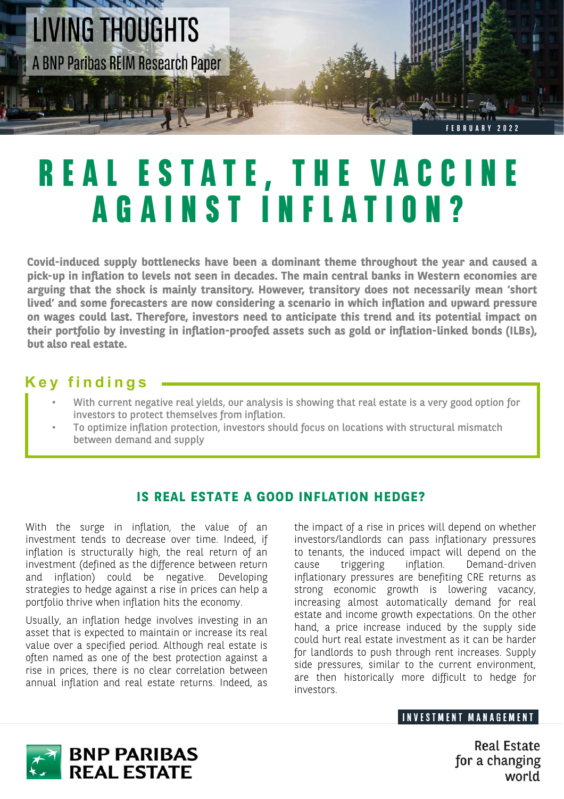

# **REAL ESTATE, THE VACCINE AGAINST INFLATION?**

**Covid-induced supply bottlenecks have been a dominant theme throughout the year and caused a pick-up in inflation to levels not seen in decades. The main central banks in Western economies are arguing that the shock is mainly transitory. However, transitory does not necessarily mean 'short lived' and some forecasters are now considering a scenario in which inflation and upward pressure on wages could last. Therefore, investors need to anticipate this trend and its potential impact on their portfolio by investing in inflation-proofed assets such as gold or inflation-linked bonds (ILBs), but also real estate.**

### **Key findings**

- With current negative real yields, our analysis is showing that real estate is a very good option for investors to protect themselves from inflation.
- To optimize inflation protection, investors should focus on locations with structural mismatch between demand and supply

#### **IS REAL ESTATE A GOOD INFLATION HEDGE?**

With the surge in inflation, the value of an investment tends to decrease over time. Indeed, if inflation is structurally high, the real return of an investment (defined as the difference between return and inflation) could be negative. Developing strategies to hedge against a rise in prices can help a portfolio thrive when inflation hits the economy.

Usually, an inflation hedge involves investing in an asset that is expected to maintain or increase its real value over a specified period. Although real estate is often named as one of the best protection against a rise in prices, there is no clear correlation between annual inflation and real estate returns. Indeed, as the impact of a rise in prices will depend on whether investors/landlords can pass inflationary pressures to tenants, the induced impact will depend on the cause triggering inflation. Demand-driven inflationary pressures are benefiting CRE returns as strong economic growth is lowering vacancy, increasing almost automatically demand for real estate and income growth expectations. On the other hand, a price increase induced by the supply side could hurt real estate investment as it can be harder for landlords to push through rent increases. Supply side pressures, similar to the current environment, are then historically more difficult to hedge for investors.

#### **INVESTMENT MANAGEMENT**



**Real Estate** for a changing world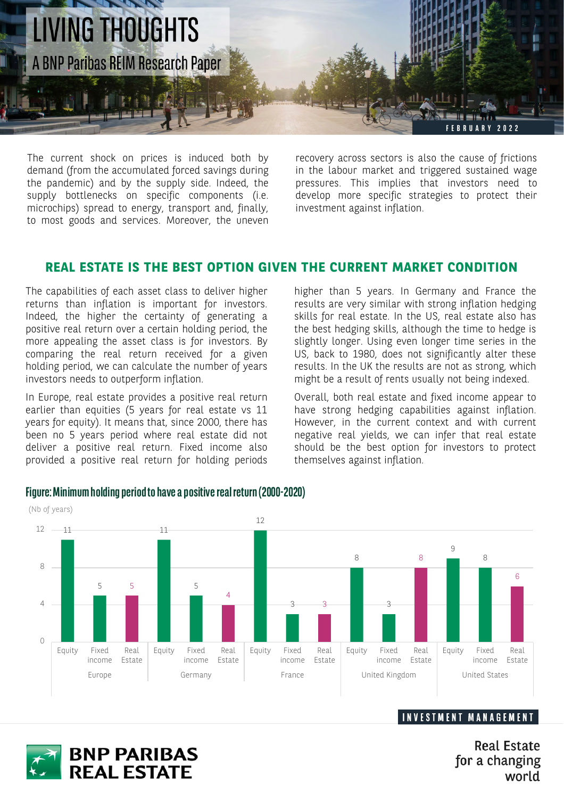

The current shock on prices is induced both by demand (from the accumulated forced savings during the pandemic) and by the supply side. Indeed, the supply bottlenecks on specific components (i.e. microchips) spread to energy, transport and, finally, to most goods and services. Moreover, the uneven

recovery across sectors is also the cause of frictions in the labour market and triggered sustained wage pressures. This implies that investors need to develop more specific strategies to protect their investment against inflation.

#### **REAL ESTATE IS THE BEST OPTION GIVEN THE CURRENT MARKET CONDITION**

The capabilities of each asset class to deliver higher returns than inflation is important for investors. Indeed, the higher the certainty of generating a positive real return over a certain holding period, the more appealing the asset class is for investors. By comparing the real return received for a given holding period, we can calculate the number of years investors needs to outperform inflation.

In Europe, real estate provides a positive real return earlier than equities (5 years for real estate vs 11 years for equity). It means that, since 2000, there has been no 5 years period where real estate did not deliver a positive real return. Fixed income also provided a positive real return for holding periods

higher than 5 years. In Germany and France the results are very similar with strong inflation hedging skills for real estate. In the US, real estate also has the best hedging skills, although the time to hedge is slightly longer. Using even longer time series in the US, back to 1980, does not significantly alter these results. In the UK the results are not as strong, which might be a result of rents usually not being indexed.

Overall, both real estate and fixed income appear to have strong hedging capabilities against inflation. However, in the current context and with current negative real yields, we can infer that real estate should be the best option for investors to protect themselves against inflation.



#### **Figure: Minimum holding period to have a positive real return (2000-2020)**



**Real Estate** for a changing world

**INVESTMENT MANAGEMENT**